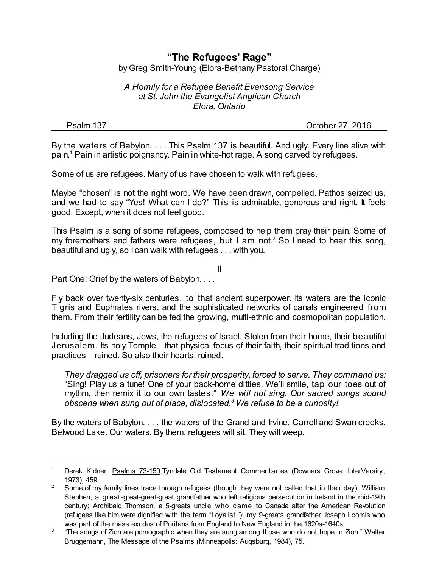## **"The Refugees' Rage"** by Greg Smith-Young (Elora-Bethany Pastoral Charge)

*A Homily for a Refugee Benefit Evensong Service at St. John the Evangelist Anglican Church Elora, Ontario*

Psalm 137 Corollary 27, 2016

By the waters of Babylon. . . . This Psalm 137 is beautiful. And ugly. Every line alive with pain. <sup>1</sup> Pain in artistic poignancy. Pain in white-hot rage. A song carved by refugees.

Some of us are refugees. Many of us have chosen to walk with refugees.

Maybe "chosen" is not the right word. We have been drawn, compelled. Pathos seized us, and we had to say "Yes! What can I do?" This is admirable, generous and right. It feels good. Except, when it does not feel good.

This Psalm is a song of some refugees, composed to help them pray their pain. Some of my foremothers and fathers were refugees, but I am not.<sup>2</sup> So I need to hear this song, beautiful and ugly, so I can walk with refugees . . . with you.

II

Part One: Grief by the waters of Babylon. . . .

Fly back over twenty-six centuries, to that ancient superpower. Its waters are the iconic Tigris and Euphrates rivers, and the sophisticated networks of canals engineered from them. From their fertility can be fed the growing, multi-ethnic and cosmopolitan population.

Including the Judeans, Jews, the refugees of Israel. Stolen from their home, their beautiful Jerusalem. Its holy Temple—that physical focus of their faith, their spiritual traditions and practices—ruined. So also their hearts, ruined.

*They dragged us off, prisoners fortheir prosperity, forced to serve. They command us:* "Sing! Play us a tune! One of your back-home ditties. We'll smile, tap our toes out of rhythm, then remix it to our own tastes." *We will not sing. Our sacred songs sound obscene when sung out of place, dislocated.<sup>3</sup> We refuse to be a curiosity!*

By the waters of Babylon. . . . the waters of the Grand and Irvine, Carroll and Swan creeks, Belwood Lake. Our waters. By them, refugees will sit. They will weep.

<sup>1</sup> Derek Kidner, Psalms 73-150,Tyndale Old Testament Commentaries (Downers Grove: InterVarsity, 1973), 459.

<sup>&</sup>lt;sup>2</sup> Some of my family lines trace through refugees (though they were not called that in their day): William Stephen, a great-great-great-great grandfather who left religious persecution in Ireland in the mid-19th century; Archibald Thomson, a 5-greats uncle who came to Canada after the American Revolution (refugees like him were dignified with the term "Loyalist."); my 9-greats grandfather Joseph Loomis who was part of the mass exodus of Puritans from England to New England in the 1620s-1640s.

 $3$  "The songs of Zion are pornographic when they are sung among those who do not hope in Zion." Walter Bruggemann, The Message of the Psalms (Minneapolis: Augsburg, 1984), 75.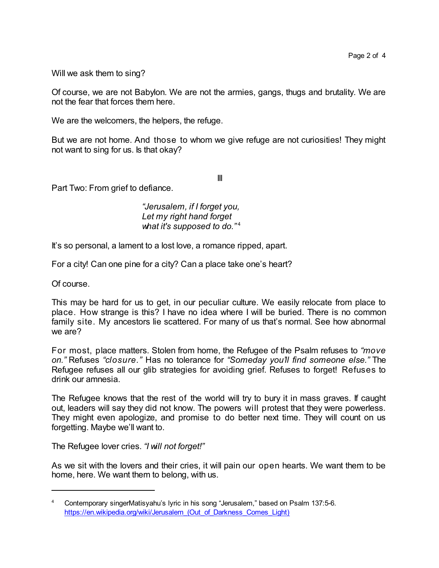Will we ask them to sing?

Of course, we are not Babylon. We are not the armies, gangs, thugs and brutality. We are not the fear that forces them here.

We are the welcomers, the helpers, the refuge.

But we are not home. And those to whom we give refuge are not curiosities! They might not want to sing for us. Is that okay?

III

Part Two: From grief to defiance.

*"Jerusalem, if I forget you, Let my right hand forget what it's supposed to do."* 4

It's so personal, a lament to a lost love, a romance ripped, apart.

For a city! Can one pine for a city? Can a place take one's heart?

Of course.

This may be hard for us to get, in our peculiar culture. We easily relocate from place to place. How strange is this? I have no idea where I will be buried. There is no common family site. My ancestors lie scattered. For many of us that's normal. See how abnormal we are?

For most, place matters. Stolen from home, the Refugee of the Psalm refuses to *"move on."* Refuses *"closure."* Has no tolerance for *"Someday you'll find someone else."* The Refugee refuses all our glib strategies for avoiding grief. Refuses to forget! Refuses to drink our amnesia.

The Refugee knows that the rest of the world will try to bury it in mass graves. If caught out, leaders will say they did not know. The powers will protest that they were powerless. They might even apologize, and promise to do better next time. They will count on us forgetting. Maybe we'll want to.

The Refugee lover cries. *"I will not forget!"*

As we sit with the lovers and their cries, it will pain our open hearts. We want them to be home, here. We want them to belong, with us.

<sup>4</sup> Contemporary singerMatisyahu's lyric in his song "Jerusalem," based on Psalm 137:5-6. https://en.wikipedia.org/wiki/Jerusalem (Out of Darkness Comes Light)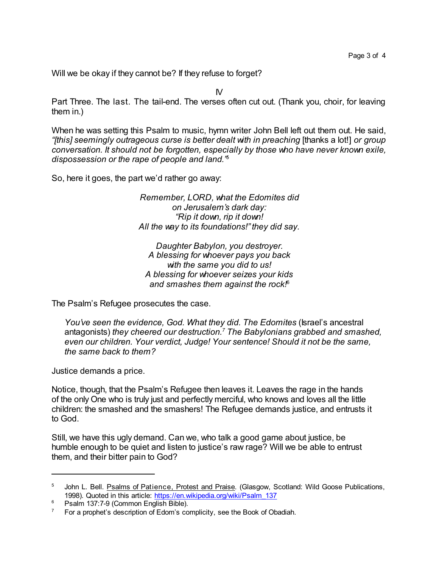Will we be okay if they cannot be? If they refuse to forget?

IV

Part Three. The last. The tail-end. The verses often cut out. (Thank you, choir, for leaving them in.)

When he was setting this Psalm to music, hymn writer John Bell left out them out. He said, *"[this] seemingly outrageous curse is better dealt with in preaching* [thanks a lot!] *or group conversation. It should not be forgotten, especially by those who have never known exile, dispossession or the rape of people and land."* 5

So, here it goes, the part we'd rather go away:

*Remember, LORD, what the Edomites did on Jerusalem's dark day: "Rip it down, rip it down! All the way to its foundations!"they did say.*

*Daughter Babylon, you destroyer. A blessing for whoever pays you back with the same you did to us! A blessing for whoever seizes your kids and smashes them against the rock!*<sup>6</sup>

The Psalm's Refugee prosecutes the case.

*You've seen the evidence, God. What they did. The Edomites* (Israel's ancestral antagonists) *they cheered our destruction.<sup>7</sup> The Babylonians grabbed and smashed, even our children. Your verdict, Judge! Your sentence! Should it not be the same, the same back to them?*

Justice demands a price.

Notice, though, that the Psalm's Refugee then leaves it. Leaves the rage in the hands of the only One who is truly just and perfectly merciful, who knows and loves all the little children: the smashed and the smashers! The Refugee demands justice, and entrusts it to God.

Still, we have this ugly demand. Can we, who talk a good game about justice, be humble enough to be quiet and listen to justice's raw rage? Will we be able to entrust them, and their bitter pain to God?

<sup>&</sup>lt;sup>5</sup> John L. Bell. Psalms of Patience, Protest and Praise. (Glasgow, Scotland: Wild Goose Publications, 1998). Quoted in this article: [https://en.wikipedia.org/wiki/Psalm\\_137](https://en.wikipedia.org/wiki/Psalm_137#cite_note-9)

<sup>&</sup>lt;sup>6</sup> Psalm 137:7-9 (Common English Bible).

 $7$  For a prophet's description of Edom's complicity, see the Book of Obadiah.